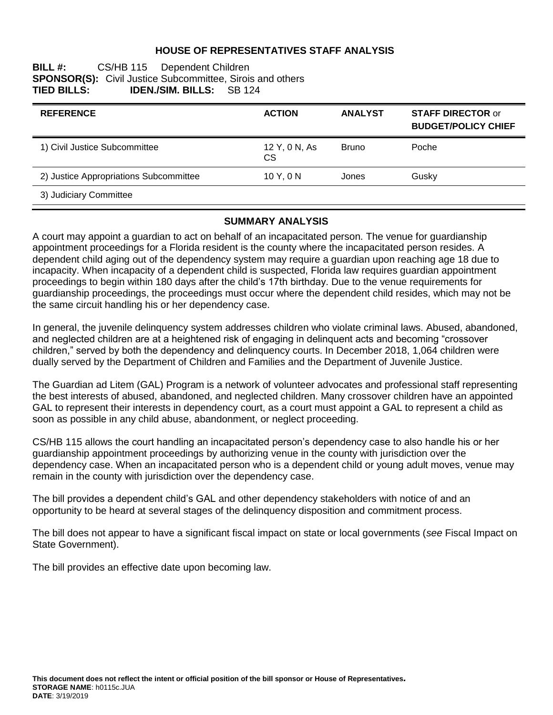#### **HOUSE OF REPRESENTATIVES STAFF ANALYSIS**

#### **BILL #:** CS/HB 115 Dependent Children **SPONSOR(S):** Civil Justice Subcommittee, Sirois and others **TIED BILLS: SB** 124 **IDEN./SIM. BILLS:** SB 124

| <b>REFERENCE</b>                       | <b>ACTION</b>              | <b>ANALYST</b> | <b>STAFF DIRECTOR or</b><br><b>BUDGET/POLICY CHIEF</b> |
|----------------------------------------|----------------------------|----------------|--------------------------------------------------------|
| 1) Civil Justice Subcommittee          | 12 Y, 0 N, As<br><b>CS</b> | <b>Bruno</b>   | Poche                                                  |
| 2) Justice Appropriations Subcommittee | 10Y.0N                     | Jones          | Gusky                                                  |
| 3) Judiciary Committee                 |                            |                |                                                        |

#### **SUMMARY ANALYSIS**

A court may appoint a guardian to act on behalf of an incapacitated person. The venue for guardianship appointment proceedings for a Florida resident is the county where the incapacitated person resides. A dependent child aging out of the dependency system may require a guardian upon reaching age 18 due to incapacity. When incapacity of a dependent child is suspected, Florida law requires guardian appointment proceedings to begin within 180 days after the child's 17th birthday. Due to the venue requirements for guardianship proceedings, the proceedings must occur where the dependent child resides, which may not be the same circuit handling his or her dependency case.

In general, the juvenile delinquency system addresses children who violate criminal laws. Abused, abandoned, and neglected children are at a heightened risk of engaging in delinquent acts and becoming "crossover children," served by both the dependency and delinquency courts. In December 2018, 1,064 children were dually served by the Department of Children and Families and the Department of Juvenile Justice.

The Guardian ad Litem (GAL) Program is a network of volunteer advocates and professional staff representing the best interests of abused, abandoned, and neglected children. Many crossover children have an appointed GAL to represent their interests in dependency court, as a court must appoint a GAL to represent a child as soon as possible in any child abuse, abandonment, or neglect proceeding.

CS/HB 115 allows the court handling an incapacitated person's dependency case to also handle his or her guardianship appointment proceedings by authorizing venue in the county with jurisdiction over the dependency case. When an incapacitated person who is a dependent child or young adult moves, venue may remain in the county with jurisdiction over the dependency case.

The bill provides a dependent child's GAL and other dependency stakeholders with notice of and an opportunity to be heard at several stages of the delinquency disposition and commitment process.

The bill does not appear to have a significant fiscal impact on state or local governments (*see* Fiscal Impact on State Government).

The bill provides an effective date upon becoming law.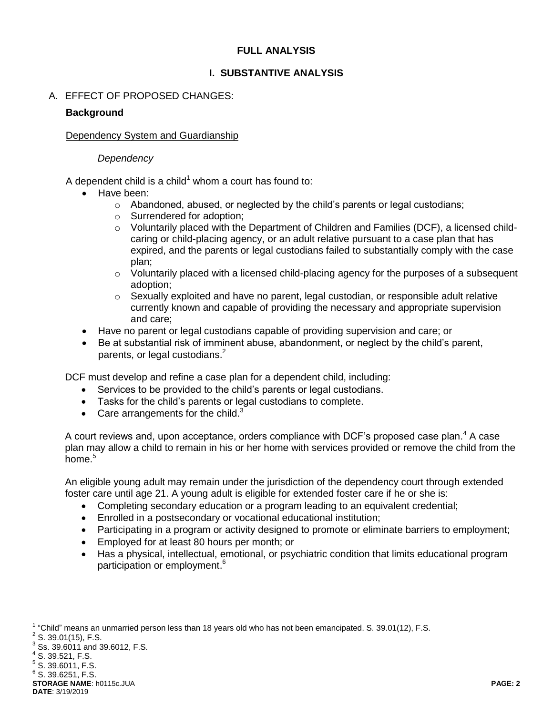### **FULL ANALYSIS**

## **I. SUBSTANTIVE ANALYSIS**

## A. EFFECT OF PROPOSED CHANGES:

### **Background**

#### Dependency System and Guardianship

#### *Dependency*

A dependent child is a child<sup>1</sup> whom a court has found to:

- · Have been:
	- $\circ$  Abandoned, abused, or neglected by the child's parents or legal custodians;
	- o Surrendered for adoption;
	- $\circ$  Voluntarily placed with the Department of Children and Families (DCF), a licensed childcaring or child-placing agency, or an adult relative pursuant to a case plan that has expired, and the parents or legal custodians failed to substantially comply with the case plan;
	- $\circ$  Voluntarily placed with a licensed child-placing agency for the purposes of a subsequent adoption;
	- $\circ$  Sexually exploited and have no parent, legal custodian, or responsible adult relative currently known and capable of providing the necessary and appropriate supervision and care;
- Have no parent or legal custodians capable of providing supervision and care; or
- Be at substantial risk of imminent abuse, abandonment, or neglect by the child's parent, parents, or legal custodians.<sup>2</sup>

DCF must develop and refine a case plan for a dependent child, including:

- Services to be provided to the child's parents or legal custodians.
- Tasks for the child's parents or legal custodians to complete.
- Care arrangements for the child.<sup>3</sup>

A court reviews and, upon acceptance, orders compliance with DCF's proposed case plan.<sup>4</sup> A case plan may allow a child to remain in his or her home with services provided or remove the child from the home.<sup>5</sup>

An eligible young adult may remain under the jurisdiction of the dependency court through extended foster care until age 21. A young adult is eligible for extended foster care if he or she is:

- Completing secondary education or a program leading to an equivalent credential;
- Enrolled in a postsecondary or vocational educational institution;
- Participating in a program or activity designed to promote or eliminate barriers to employment;
- **Employed for at least 80 hours per month; or**
- Has a physical, intellectual, emotional, or psychiatric condition that limits educational program participation or employment. 6

**STORAGE NAME**: h0115c.JUA **PAGE: 2**  $6$  S. 39.6251, F.S.

**DATE**: 3/19/2019

 $\overline{a}$  $1$  "Child" means an unmarried person less than 18 years old who has not been emancipated. S. 39.01(12), F.S.

 $2$  S. 39.01(15), F.S.

 $3$  Ss. 39.6011 and 39.6012, F.S.

 $4$  S. 39.521, F.S.

<sup>&</sup>lt;sup>5</sup> S. 39.6011, F.S.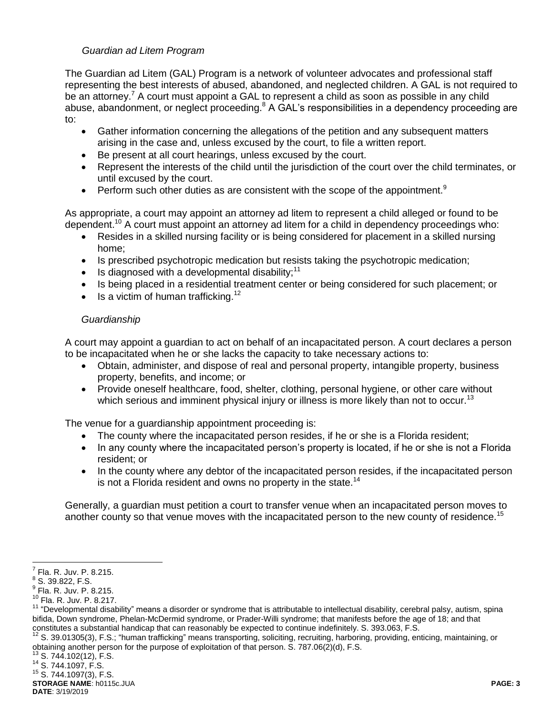#### *Guardian ad Litem Program*

The Guardian ad Litem (GAL) Program is a network of volunteer advocates and professional staff representing the best interests of abused, abandoned, and neglected children. A GAL is not required to be an attorney.<sup>7</sup> A court must appoint a GAL to represent a child as soon as possible in any child abuse, abandonment, or neglect proceeding.<sup>8</sup> A GAL's responsibilities in a dependency proceeding are to:

- Gather information concerning the allegations of the petition and any subsequent matters arising in the case and, unless excused by the court, to file a written report.
- Be present at all court hearings, unless excused by the court.
- Represent the interests of the child until the jurisdiction of the court over the child terminates, or until excused by the court.
- **Perform such other duties as are consistent with the scope of the appointment.**<sup>9</sup>

As appropriate, a court may appoint an attorney ad litem to represent a child alleged or found to be dependent.<sup>10</sup> A court must appoint an attorney ad litem for a child in dependency proceedings who:

- Resides in a skilled nursing facility or is being considered for placement in a skilled nursing home;
- Is prescribed psychotropic medication but resists taking the psychotropic medication;
- $\bullet$  Is diagnosed with a developmental disability;<sup>11</sup>
- Is being placed in a residential treatment center or being considered for such placement; or
- $\bullet$  Is a victim of human trafficking.<sup>12</sup>

### *Guardianship*

A court may appoint a guardian to act on behalf of an incapacitated person. A court declares a person to be incapacitated when he or she lacks the capacity to take necessary actions to:

- Obtain, administer, and dispose of real and personal property, intangible property, business property, benefits, and income; or
- Provide oneself healthcare, food, shelter, clothing, personal hygiene, or other care without which serious and imminent physical injury or illness is more likely than not to occur.<sup>13</sup>

The venue for a guardianship appointment proceeding is:

- The county where the incapacitated person resides, if he or she is a Florida resident;
- In any county where the incapacitated person's property is located, if he or she is not a Florida resident; or
- In the county where any debtor of the incapacitated person resides, if the incapacitated person is not a Florida resident and owns no property in the state.<sup>14</sup>

Generally, a guardian must petition a court to transfer venue when an incapacitated person moves to another county so that venue moves with the incapacitated person to the new county of residence.<sup>15</sup>

S. 744.102(12), F.S. <sup>14</sup> S. 744.1097, F.S.

<sup>15</sup> S. 744.1097(3), F.S.

**STORAGE NAME**: h0115c.JUA **PAGE: 3 DATE**: 3/19/2019

 $\overline{a}$  $^{7}$  Fla. R. Juv. P. 8.215.

 $8^8$  S. 39.822, F.S.

 $<sup>9</sup>$  Fla. R. Juv. P. 8.215.</sup>

<sup>10</sup> Fla. R. Juv. P. 8.217.

<sup>&</sup>lt;sup>11</sup> "Developmental disability" means a disorder or syndrome that is attributable to intellectual disability, cerebral palsy, autism, spina bifida, Down syndrome, Phelan-McDermid syndrome, or Prader-Willi syndrome; that manifests before the age of 18; and that constitutes a substantial handicap that can reasonably be expected to continue indefinitely. S. 393.063, F.S.

 $12$  S. 39.01305(3), F.S.; "human trafficking" means transporting, soliciting, recruiting, harboring, providing, enticing, maintaining, or obtaining another person for the purpose of exploitation of that person. S. 787.06(2)(d), F.S.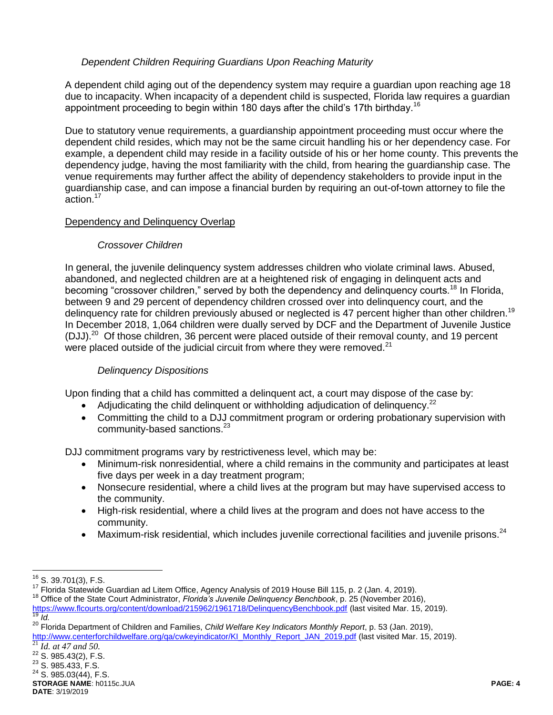## *Dependent Children Requiring Guardians Upon Reaching Maturity*

A dependent child aging out of the dependency system may require a guardian upon reaching age 18 due to incapacity. When incapacity of a dependent child is suspected, Florida law requires a guardian appointment proceeding to begin within 180 days after the child's 17th birthday.<sup>16</sup>

Due to statutory venue requirements, a guardianship appointment proceeding must occur where the dependent child resides, which may not be the same circuit handling his or her dependency case. For example, a dependent child may reside in a facility outside of his or her home county. This prevents the dependency judge, having the most familiarity with the child, from hearing the guardianship case. The venue requirements may further affect the ability of dependency stakeholders to provide input in the guardianship case, and can impose a financial burden by requiring an out-of-town attorney to file the action.<sup>17</sup>

### Dependency and Delinquency Overlap

### *Crossover Children*

In general, the juvenile delinquency system addresses children who violate criminal laws. Abused, abandoned, and neglected children are at a heightened risk of engaging in delinquent acts and becoming "crossover children," served by both the dependency and delinquency courts.<sup>18</sup> In Florida. between 9 and 29 percent of dependency children crossed over into delinquency court, and the delinquency rate for children previously abused or neglected is 47 percent higher than other children.<sup>19</sup> In December 2018, 1,064 children were dually served by DCF and the Department of Juvenile Justice (DJJ).<sup>20</sup> Of those children, 36 percent were placed outside of their removal county, and 19 percent were placed outside of the judicial circuit from where they were removed. $21$ 

### *Delinquency Dispositions*

Upon finding that a child has committed a delinquent act, a court may dispose of the case by:

- Adjudicating the child delinguent or withholding adjudication of delinguency.<sup>22</sup>
- Committing the child to a DJJ commitment program or ordering probationary supervision with community-based sanctions.<sup>23</sup>

DJJ commitment programs vary by restrictiveness level, which may be:

- Minimum-risk nonresidential, where a child remains in the community and participates at least five days per week in a day treatment program;
- Nonsecure residential, where a child lives at the program but may have supervised access to the community.
- High-risk residential, where a child lives at the program and does not have access to the community.
- $\bullet$  Maximum-risk residential, which includes juvenile correctional facilities and juvenile prisons.<sup>24</sup>

 $\overline{a}$  $16$  S. 39.701(3), F.S.

<sup>17</sup> Florida Statewide Guardian ad Litem Office, Agency Analysis of 2019 House Bill 115, p. 2 (Jan. 4, 2019).

<sup>18</sup> Office of the State Court Administrator, *Florida's Juvenile Delinquency Benchbook*, p. 25 (November 2016),

<https://www.flcourts.org/content/download/215962/1961718/DelinquencyBenchbook.pdf> (last visited Mar. 15, 2019). *Id.* 

<sup>20</sup> Florida Department of Children and Families, *Child Welfare Key Indicators Monthly Report*, p. 53 (Jan. 2019),

[http://www.centerforchildwelfare.org/qa/cwkeyindicator/KI\\_Monthly\\_Report\\_JAN\\_2019.pdf](http://www.centerforchildwelfare.org/qa/cwkeyindicator/KI_Monthly_Report_JAN_2019.pdf) (last visited Mar. 15, 2019).

*Id. at 47 and 50.* 

 $22$  S. 985.43(2), F.S. <sup>23</sup> S. 985.433, F.S.

 $24$  S. 985.03(44), F.S.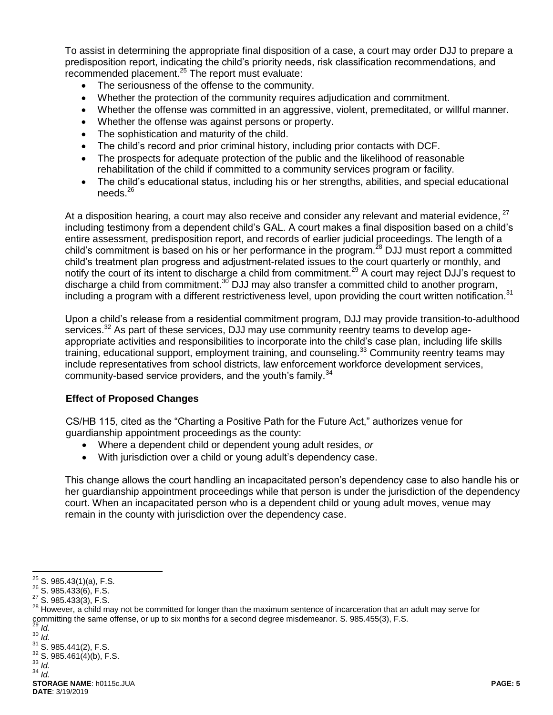To assist in determining the appropriate final disposition of a case, a court may order DJJ to prepare a predisposition report, indicating the child's priority needs, risk classification recommendations, and recommended placement. $^{25}$  The report must evaluate:

- The seriousness of the offense to the community.
- Whether the protection of the community requires adjudication and commitment.
- Whether the offense was committed in an aggressive, violent, premeditated, or willful manner.
- Whether the offense was against persons or property.
- The sophistication and maturity of the child.
- The child's record and prior criminal history, including prior contacts with DCF.
- The prospects for adequate protection of the public and the likelihood of reasonable rehabilitation of the child if committed to a community services program or facility.
- The child's educational status, including his or her strengths, abilities, and special educational  $needs.<sup>26</sup>$

At a disposition hearing, a court may also receive and consider any relevant and material evidence,  $^{27}$ including testimony from a dependent child's GAL. A court makes a final disposition based on a child's entire assessment, predisposition report, and records of earlier judicial proceedings. The length of a child's commitment is based on his or her performance in the program.<sup>28</sup> DJJ must report a committed child's treatment plan progress and adjustment-related issues to the court quarterly or monthly, and notify the court of its intent to discharge a child from commitment.<sup>29</sup> A court may reject DJJ's request to discharge a child from commitment.<sup>30</sup> DJJ may also transfer a committed child to another program, including a program with a different restrictiveness level, upon providing the court written notification.<sup>31</sup>

Upon a child's release from a residential commitment program, DJJ may provide transition-to-adulthood services.<sup>32</sup> As part of these services, DJJ may use community reentry teams to develop ageappropriate activities and responsibilities to incorporate into the child's case plan, including life skills training, educational support, employment training, and counseling.<sup>33</sup> Community reentry teams may include representatives from school districts, law enforcement workforce development services, community-based service providers, and the youth's family.  $34$ 

### **Effect of Proposed Changes**

CS/HB 115, cited as the "Charting a Positive Path for the Future Act," authorizes venue for guardianship appointment proceedings as the county:

- Where a dependent child or dependent young adult resides, *or*
- With jurisdiction over a child or young adult's dependency case.

This change allows the court handling an incapacitated person's dependency case to also handle his or her guardianship appointment proceedings while that person is under the jurisdiction of the dependency court. When an incapacitated person who is a dependent child or young adult moves, venue may remain in the county with jurisdiction over the dependency case.

<sup>29</sup> *Id.*  $30 \frac{1}{10}$ .

- <sup>33</sup> *Id.*
- <sup>34</sup> *Id.*

 $\overline{a}$  $25$  S. 985.43(1)(a), F.S.

<sup>26</sup> S. 985.433(6), F.S.

<sup>27</sup> S. 985.433(3), F.S.

<sup>28</sup> However, a child may not be committed for longer than the maximum sentence of incarceration that an adult may serve for committing the same offense, or up to six months for a second degree misdemeanor. S. 985.455(3), F.S.

 $31$  S. 985.441(2), F.S.  $32$  S. 985.461(4)(b), F.S.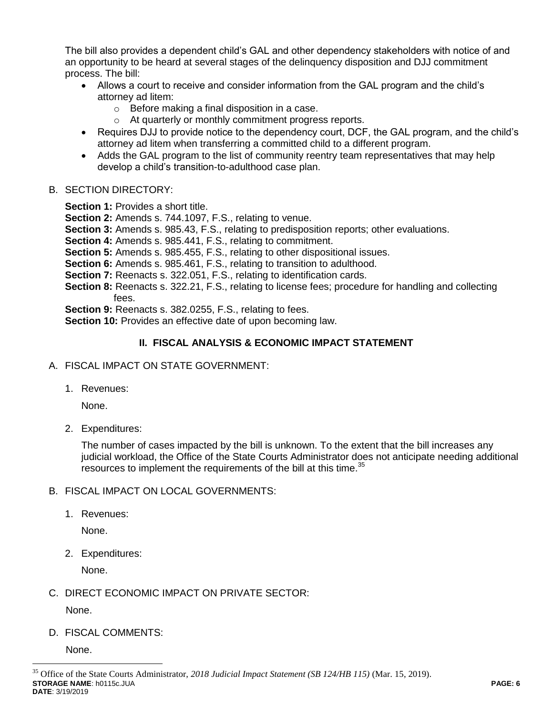The bill also provides a dependent child's GAL and other dependency stakeholders with notice of and an opportunity to be heard at several stages of the delinquency disposition and DJJ commitment process. The bill:

- Allows a court to receive and consider information from the GAL program and the child's attorney ad litem:
	- o Before making a final disposition in a case.
	- o At quarterly or monthly commitment progress reports.
- Requires DJJ to provide notice to the dependency court, DCF, the GAL program, and the child's attorney ad litem when transferring a committed child to a different program.
- Adds the GAL program to the list of community reentry team representatives that may help develop a child's transition-to-adulthood case plan.

# B. SECTION DIRECTORY:

**Section 1: Provides a short title.** 

- **Section 2:** Amends s. 744.1097, F.S., relating to venue.
- **Section 3:** Amends s. 985.43, F.S., relating to predisposition reports; other evaluations.
- **Section 4:** Amends s. 985.441, F.S., relating to commitment.
- **Section 5:** Amends s. 985.455, F.S., relating to other dispositional issues.
- **Section 6:** Amends s. 985.461, F.S., relating to transition to adulthood.
- **Section 7:** Reenacts s. 322.051, F.S., relating to identification cards.
- **Section 8:** Reenacts s. 322.21, F.S., relating to license fees; procedure for handling and collecting fees.

**Section 9:** Reenacts s. 382.0255, F.S., relating to fees.

**Section 10:** Provides an effective date of upon becoming law.

# **II. FISCAL ANALYSIS & ECONOMIC IMPACT STATEMENT**

- A. FISCAL IMPACT ON STATE GOVERNMENT:
	- 1. Revenues:

None.

2. Expenditures:

The number of cases impacted by the bill is unknown. To the extent that the bill increases any judicial workload, the Office of the State Courts Administrator does not anticipate needing additional resources to implement the requirements of the bill at this time.<sup>35</sup>

# B. FISCAL IMPACT ON LOCAL GOVERNMENTS:

1. Revenues:

None.

2. Expenditures:

None.

# C. DIRECT ECONOMIC IMPACT ON PRIVATE SECTOR:

None.

D. FISCAL COMMENTS:

None.

 $\overline{a}$ 

**STORAGE NAME**: h0115c.JUA **PAGE: 6 DATE**: 3/19/2019 <sup>35</sup> Office of the State Courts Administrator, *2018 Judicial Impact Statement (SB 124/HB 115)* (Mar. 15, 2019).